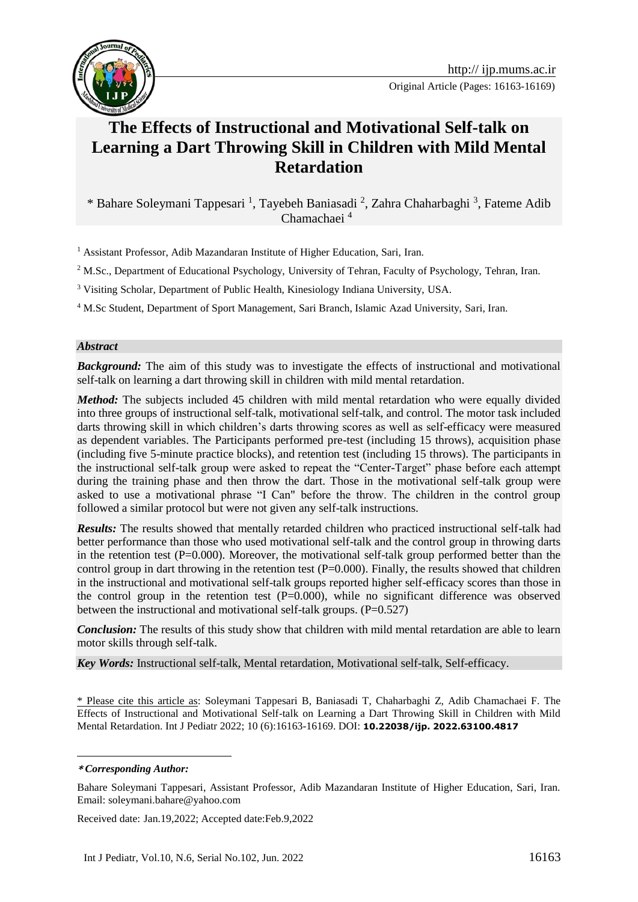

# **The Effects of Instructional and Motivational Self-talk on Learning a Dart Throwing Skill in Children with Mild Mental Retardation**

\* Bahare Soleymani Tappesari<sup>1</sup>, Tayebeh Baniasadi<sup>2</sup>, Zahra Chaharbaghi<sup>3</sup>, Fateme Adib Chamachaei <sup>4</sup>**<sup>1</sup>**

<sup>1</sup> Assistant Professor, Adib Mazandaran Institute of Higher Education, Sari, Iran.

<sup>2</sup> M.Sc., Department of Educational Psychology, University of Tehran, Faculty of Psychology, Tehran, Iran.

<sup>3</sup> Visiting Scholar, Department of Public Health, Kinesiology Indiana University, USA.

<sup>4</sup> M.Sc Student, Department of Sport Management, Sari Branch, Islamic Azad University, Sari, Iran.

#### *Abstract*

*Background:* The aim of this study was to investigate the effects of instructional and motivational self-talk on learning a dart throwing skill in children with mild mental retardation.

*Method:* The subjects included 45 children with mild mental retardation who were equally divided into three groups of instructional self-talk, motivational self-talk, and control. The motor task included darts throwing skill in which children's darts throwing scores as well as self-efficacy were measured as dependent variables. The Participants performed pre-test (including 15 throws), acquisition phase (including five 5-minute practice blocks), and retention test (including 15 throws). The participants in the instructional self-talk group were asked to repeat the "Center-Target" phase before each attempt during the training phase and then throw the dart. Those in the motivational self-talk group were asked to use a motivational phrase "I Can" before the throw. The children in the control group followed a similar protocol but were not given any self-talk instructions.

*Results:* The results showed that mentally retarded children who practiced instructional self-talk had better performance than those who used motivational self-talk and the control group in throwing darts in the retention test  $(P=0.000)$ . Moreover, the motivational self-talk group performed better than the control group in dart throwing in the retention test  $(P=0.000)$ . Finally, the results showed that children in the instructional and motivational self-talk groups reported higher self-efficacy scores than those in the control group in the retention test  $(P=0.000)$ , while no significant difference was observed between the instructional and motivational self-talk groups.  $(P=0.527)$ 

*Conclusion:* The results of this study show that children with mild mental retardation are able to learn motor skills through self-talk.

*Key Words:* Instructional self-talk, Mental retardation, Motivational self-talk, Self-efficacy.

\* Please cite this article as: Soleymani Tappesari B, Baniasadi T, Chaharbaghi Z, Adib Chamachaei F. The Effects of Instructional and Motivational Self-talk on Learning a Dart Throwing Skill in Children with Mild Mental Retardation. Int J Pediatr 2022; 10 (6):16163-16169. DOI: **10.22038/ijp. 2022.63100.4817**

1

Received date: Jan.19,2022; Accepted date:Feb.9,2022

**<sup>\*</sup>** *Corresponding Author:*

Bahare Soleymani Tappesari, Assistant Professor, Adib Mazandaran Institute of Higher Education, Sari, Iran. Email: soleymani.bahare@yahoo.com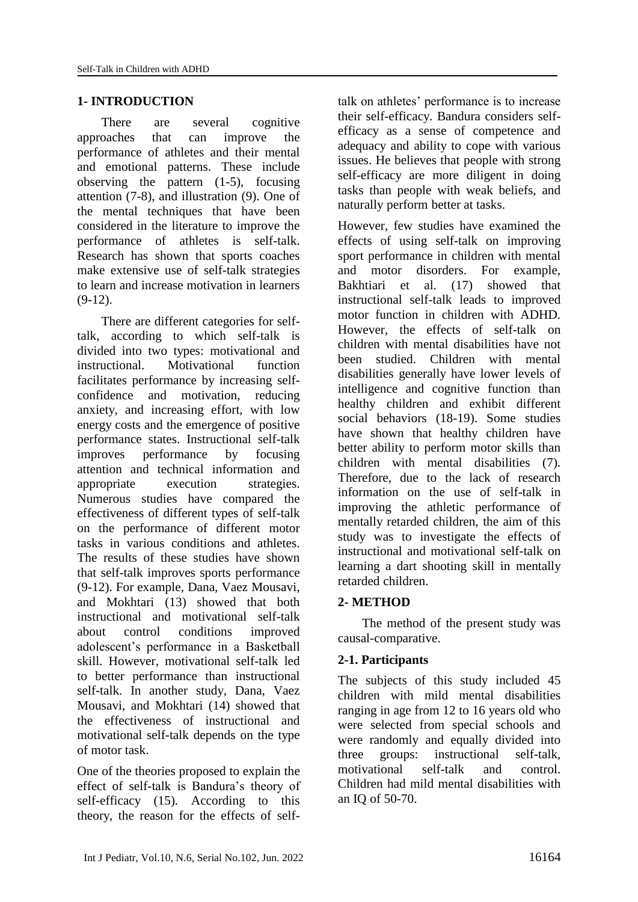### **1- INTRODUCTION**

There are several cognitive approaches that can improve the performance of athletes and their mental and emotional patterns. These include observing the pattern (1-5), focusing attention (7-8), and illustration (9). One of the mental techniques that have been considered in the literature to improve the performance of athletes is self-talk. Research has shown that sports coaches make extensive use of self-talk strategies to learn and increase motivation in learners  $(9-12)$ .

There are different categories for selftalk, according to which self-talk is divided into two types: motivational and instructional. Motivational function facilitates performance by increasing selfconfidence and motivation, reducing anxiety, and increasing effort, with low energy costs and the emergence of positive performance states. Instructional self-talk improves performance by focusing attention and technical information and appropriate execution strategies. Numerous studies have compared the effectiveness of different types of self-talk on the performance of different motor tasks in various conditions and athletes. The results of these studies have shown that self-talk improves sports performance (9-12). For example, Dana, Vaez Mousavi, and Mokhtari (13) showed that both instructional and motivational self-talk about control conditions improved adolescent's performance in a Basketball skill. However, motivational self-talk led to better performance than instructional self-talk. In another study, Dana, Vaez Mousavi, and Mokhtari (14) showed that the effectiveness of instructional and motivational self-talk depends on the type of motor task.

One of the theories proposed to explain the effect of self-talk is Bandura's theory of self-efficacy (15). According to this theory, the reason for the effects of selftalk on athletes' performance is to increase their self-efficacy. Bandura considers selfefficacy as a sense of competence and adequacy and ability to cope with various issues. He believes that people with strong self-efficacy are more diligent in doing tasks than people with weak beliefs, and naturally perform better at tasks.

However, few studies have examined the effects of using self-talk on improving sport performance in children with mental and motor disorders. For example, Bakhtiari et al. (17) showed that instructional self-talk leads to improved motor function in children with ADHD. However, the effects of self-talk on children with mental disabilities have not been studied. Children with mental disabilities generally have lower levels of intelligence and cognitive function than healthy children and exhibit different social behaviors (18-19). Some studies have shown that healthy children have better ability to perform motor skills than children with mental disabilities (7). Therefore, due to the lack of research information on the use of self-talk in improving the athletic performance of mentally retarded children, the aim of this study was to investigate the effects of instructional and motivational self-talk on learning a dart shooting skill in mentally retarded children.

#### **2- METHOD**

The method of the present study was causal-comparative.

#### **2-1. Participants**

The subjects of this study included 45 children with mild mental disabilities ranging in age from 12 to 16 years old who were selected from special schools and were randomly and equally divided into three groups: instructional self-talk, motivational self-talk and control. Children had mild mental disabilities with an IQ of 50-70.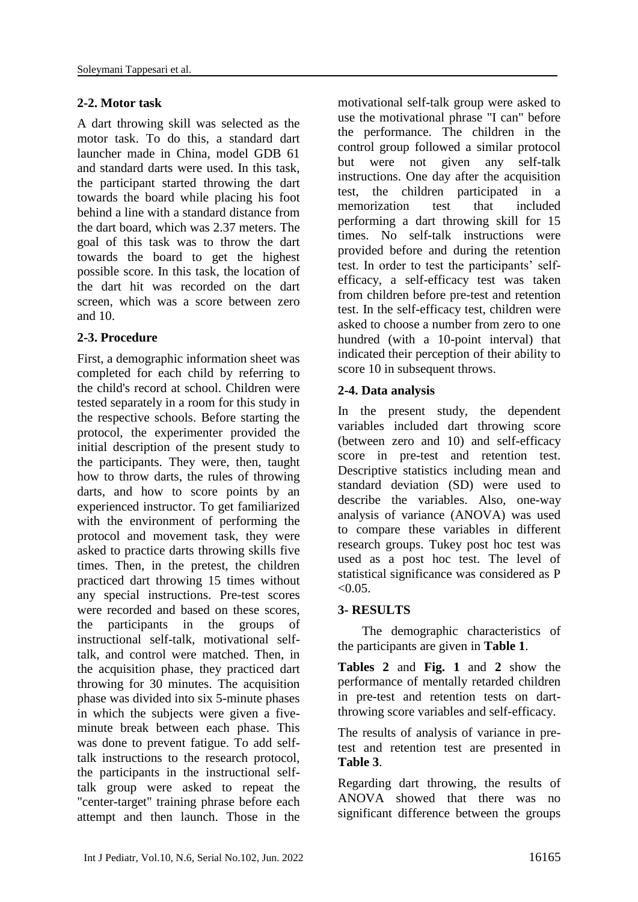### **2-2. Motor task**

A dart throwing skill was selected as the motor task. To do this, a standard dart launcher made in China, model GDB 61 and standard darts were used. In this task, the participant started throwing the dart towards the board while placing his foot behind a line with a standard distance from the dart board, which was 2.37 meters. The goal of this task was to throw the dart towards the board to get the highest possible score. In this task, the location of the dart hit was recorded on the dart screen, which was a score between zero and 10.

#### **2-3. Procedure**

First, a demographic information sheet was completed for each child by referring to the child's record at school. Children were tested separately in a room for this study in the respective schools. Before starting the protocol, the experimenter provided the initial description of the present study to the participants. They were, then, taught how to throw darts, the rules of throwing darts, and how to score points by an experienced instructor. To get familiarized with the environment of performing the protocol and movement task, they were asked to practice darts throwing skills five times. Then, in the pretest, the children practiced dart throwing 15 times without any special instructions. Pre-test scores were recorded and based on these scores, the participants in the groups of instructional self-talk, motivational selftalk, and control were matched. Then, in the acquisition phase, they practiced dart throwing for 30 minutes. The acquisition phase was divided into six 5-minute phases in which the subjects were given a fiveminute break between each phase. This was done to prevent fatigue. To add selftalk instructions to the research protocol, the participants in the instructional selftalk group were asked to repeat the "center-target" training phrase before each attempt and then launch. Those in the

motivational self-talk group were asked to use the motivational phrase "I can" before the performance. The children in the control group followed a similar protocol but were not given any self-talk instructions. One day after the acquisition test, the children participated in a memorization test that included performing a dart throwing skill for 15 times. No self-talk instructions were provided before and during the retention test. In order to test the participants' selfefficacy, a self-efficacy test was taken from children before pre-test and retention test. In the self-efficacy test, children were asked to choose a number from zero to one hundred (with a 10-point interval) that indicated their perception of their ability to score 10 in subsequent throws.

## **2-4. Data analysis**

In the present study, the dependent variables included dart throwing score (between zero and 10) and self-efficacy score in pre-test and retention test. Descriptive statistics including mean and standard deviation (SD) were used to describe the variables. Also, one-way analysis of variance (ANOVA) was used to compare these variables in different research groups. Tukey post hoc test was used as a post hoc test. The level of statistical significance was considered as P  $< 0.05$ .

#### **3- RESULTS**

The demographic characteristics of the participants are given in **Table 1**.

**Tables 2** and **Fig. 1** and **2** show the performance of mentally retarded children in pre-test and retention tests on dartthrowing score variables and self-efficacy.

The results of analysis of variance in pretest and retention test are presented in **Table 3**.

Regarding dart throwing, the results of ANOVA showed that there was no significant difference between the groups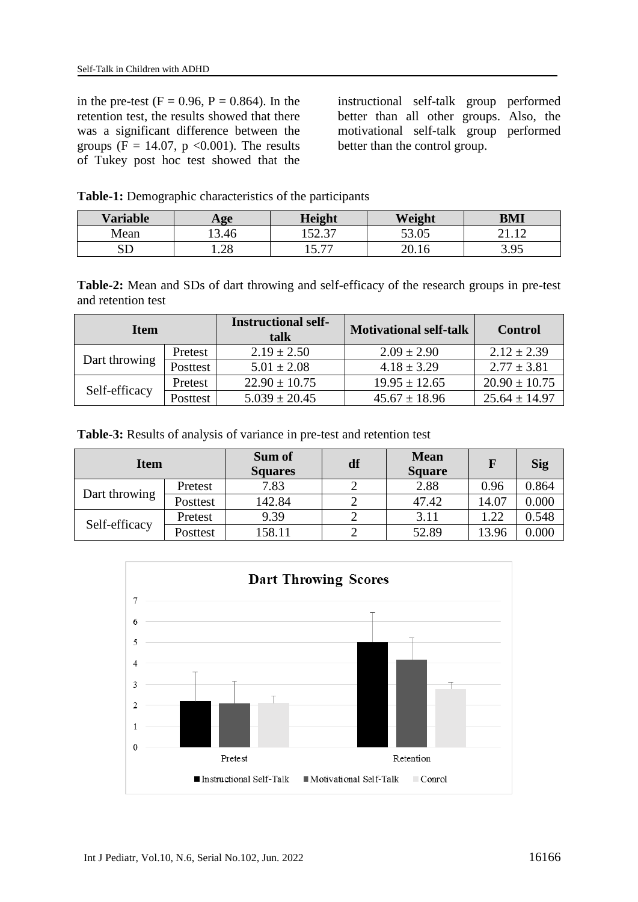in the pre-test ( $F = 0.96$ ,  $P = 0.864$ ). In the retention test, the results showed that there was a significant difference between the groups (F = 14.07, p < 0.001). The results of Tukey post hoc test showed that the instructional self-talk group performed better than all other groups. Also, the motivational self-talk group performed better than the control group.

|  |  | Table-1: Demographic characteristics of the participants |  |  |
|--|--|----------------------------------------------------------|--|--|
|--|--|----------------------------------------------------------|--|--|

| <b>Variable</b> | $\bf{Age}$ | <b>Height</b>   | Weight | BMI            |
|-----------------|------------|-----------------|--------|----------------|
| Mean            | 13.46      | 527<br>ا ت که ۱ | 53.05  | 1 <sub>2</sub> |
| <b>SD</b>       | 1.28       | 5.77            | n n    | 395<br>J.JJ    |

**Table-2:** Mean and SDs of dart throwing and self-efficacy of the research groups in pre-test and retention test

| Item          |          | <b>Instructional self-</b><br>talk | <b>Motivational self-talk</b> | <b>Control</b>    |
|---------------|----------|------------------------------------|-------------------------------|-------------------|
| Dart throwing | Pretest  | $2.19 \pm 2.50$                    | $2.09 \pm 2.90$               | $2.12 \pm 2.39$   |
|               | Posttest | $5.01 \pm 2.08$                    | $4.18 \pm 3.29$               | $2.77 \pm 3.81$   |
| Self-efficacy | Pretest  | $22.90 \pm 10.75$                  | $19.95 \pm 12.65$             | $20.90 \pm 10.75$ |
|               | Posttest | $5.039 \pm 20.45$                  | $45.67 \pm 18.96$             | $25.64 \pm 14.97$ |

**Table-3:** Results of analysis of variance in pre-test and retention test

| <b>Item</b>   |          | Sum of<br><b>Squares</b> | df | <b>Mean</b><br><b>Square</b> | $\mathbf F$ | <b>Sig</b> |
|---------------|----------|--------------------------|----|------------------------------|-------------|------------|
| Dart throwing | Pretest  | 7.83                     |    | 2.88                         | 0.96        | 0.864      |
|               | Posttest | 142.84                   |    | 47.42                        | 14.07       | 0.000      |
| Self-efficacy | Pretest  | 9.39                     |    | 3.11                         | .22         | 0.548      |
|               | Posttest | 158.11                   |    | 52.89                        | 13.96       | 0.000      |

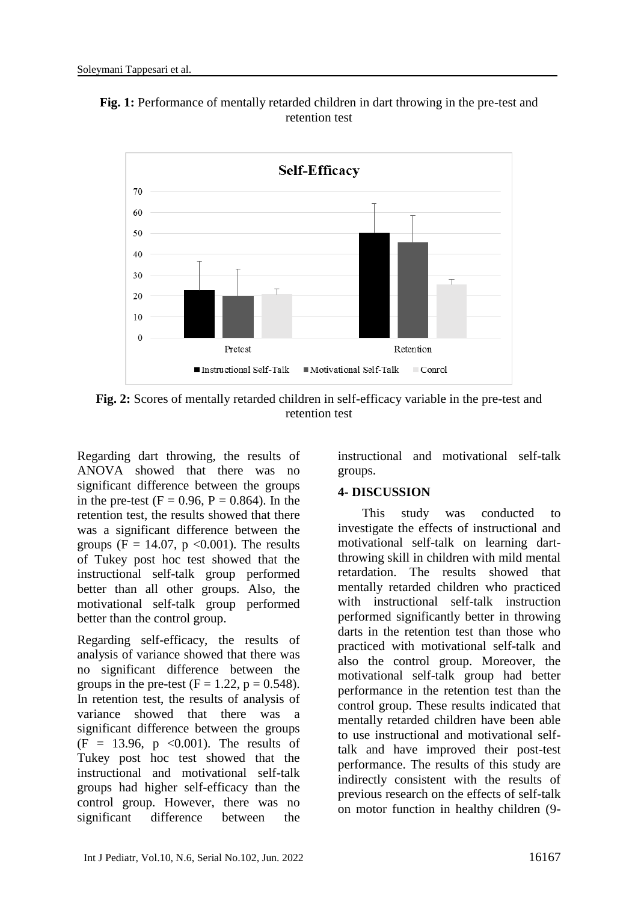

**Fig. 1:** Performance of mentally retarded children in dart throwing in the pre-test and retention test

**Fig. 2:** Scores of mentally retarded children in self-efficacy variable in the pre-test and retention test

Regarding dart throwing, the results of ANOVA showed that there was no significant difference between the groups in the pre-test ( $F = 0.96$ ,  $P = 0.864$ ). In the retention test, the results showed that there was a significant difference between the groups (F = 14.07, p  $\langle 0.001 \rangle$ ). The results of Tukey post hoc test showed that the instructional self-talk group performed better than all other groups. Also, the motivational self-talk group performed better than the control group.

Regarding self-efficacy, the results of analysis of variance showed that there was no significant difference between the groups in the pre-test  $(F = 1.22, p = 0.548)$ . In retention test, the results of analysis of variance showed that there was a significant difference between the groups  $(F = 13.96, p \le 0.001)$ . The results of Tukey post hoc test showed that the instructional and motivational self-talk groups had higher self-efficacy than the control group. However, there was no significant difference between the

instructional and motivational self-talk groups.

#### **4- DISCUSSION**

This study was conducted to investigate the effects of instructional and motivational self-talk on learning dartthrowing skill in children with mild mental retardation. The results showed that mentally retarded children who practiced with instructional self-talk instruction performed significantly better in throwing darts in the retention test than those who practiced with motivational self-talk and also the control group. Moreover, the motivational self-talk group had better performance in the retention test than the control group. These results indicated that mentally retarded children have been able to use instructional and motivational selftalk and have improved their post-test performance. The results of this study are indirectly consistent with the results of previous research on the effects of self-talk on motor function in healthy children (9-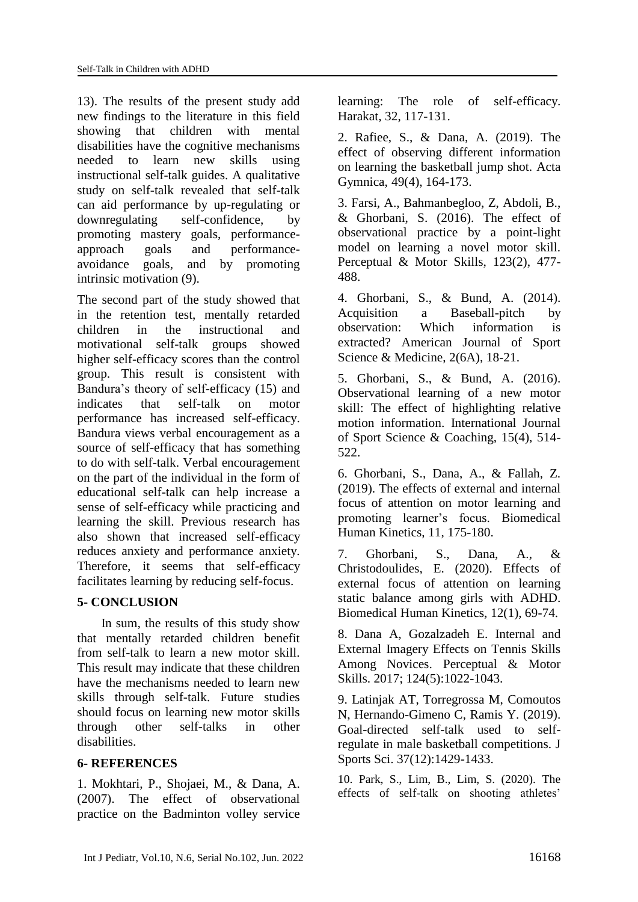13). The results of the present study add new findings to the literature in this field showing that children with mental disabilities have the cognitive mechanisms needed to learn new skills using instructional self-talk guides. A qualitative study on self-talk revealed that self-talk can aid performance by up-regulating or downregulating self-confidence, by promoting mastery goals, performanceapproach goals and performanceavoidance goals, and by promoting intrinsic motivation (9).

The second part of the study showed that in the retention test, mentally retarded children in the instructional and motivational self-talk groups showed higher self-efficacy scores than the control group. This result is consistent with Bandura's theory of self-efficacy (15) and indicates that self-talk on motor performance has increased self-efficacy. Bandura views verbal encouragement as a source of self-efficacy that has something to do with self-talk. Verbal encouragement on the part of the individual in the form of educational self-talk can help increase a sense of self-efficacy while practicing and learning the skill. Previous research has also shown that increased self-efficacy reduces anxiety and performance anxiety. Therefore, it seems that self-efficacy facilitates learning by reducing self-focus.

#### **5- CONCLUSION**

In sum, the results of this study show that mentally retarded children benefit from self-talk to learn a new motor skill. This result may indicate that these children have the mechanisms needed to learn new skills through self-talk. Future studies should focus on learning new motor skills through other self-talks in other disabilities.

#### **6- REFERENCES**

1. Mokhtari, P., Shojaei, M., & Dana, A. (2007). The effect of observational practice on the Badminton volley service learning: The role of self-efficacy. Harakat, 32, 117-131.

2. Rafiee, S., & Dana, A. (2019). The effect of observing different information on learning the basketball jump shot. Acta Gymnica, 49(4), 164-173.

3. Farsi, A., Bahmanbegloo, Z, Abdoli, B., & Ghorbani, S. (2016). The effect of observational practice by a point-light model on learning a novel motor skill. Perceptual & Motor Skills, 123(2), 477- 488.

4. Ghorbani, S., & Bund, A. (2014). Acquisition a Baseball-pitch by observation: Which information is extracted? American Journal of Sport Science & Medicine, 2(6A), 18-21.

5. Ghorbani, S., & Bund, A. (2016). Observational learning of a new motor skill: The effect of highlighting relative motion information. International Journal of Sport Science & Coaching, 15(4), 514- 522.

6. Ghorbani, S., Dana, A., & Fallah, Z. (2019). The effects of external and internal focus of attention on motor learning and promoting learner's focus. Biomedical Human Kinetics, 11, 175-180.

7. Ghorbani, S., Dana, A., & Christodoulides, E. (2020). Effects of external focus of attention on learning static balance among girls with ADHD. Biomedical Human Kinetics, 12(1), 69-74.

8. Dana A, Gozalzadeh E. Internal and External Imagery Effects on Tennis Skills Among Novices. Perceptual & Motor Skills. 2017; 124(5):1022-1043.

9. Latinjak AT, Torregrossa M, Comoutos N, Hernando-Gimeno C, Ramis Y. (2019). Goal-directed self-talk used to selfregulate in male basketball competitions. J Sports Sci. 37(12):1429-1433.

10. Park, S., Lim, B., Lim, S. (2020). The effects of self-talk on shooting athletes'